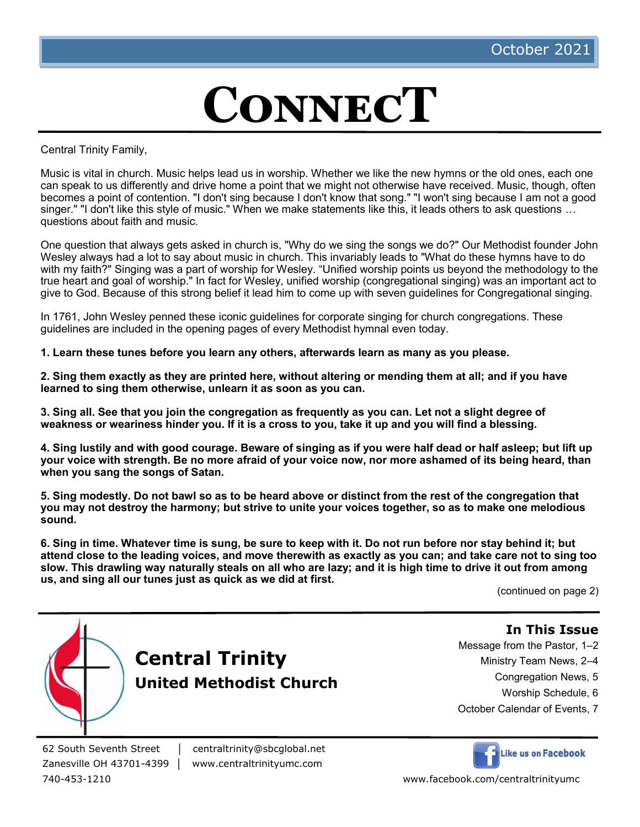# **ConnecT**

Central Trinity Family,

Music is vital in church. Music helps lead us in worship. Whether we like the new hymns or the old ones, each one can speak to us differently and drive home a point that we might not otherwise have received. Music, though, often becomes a point of contention. "I don't sing because I don't know that song." "I won't sing because I am not a good singer." "I don't like this style of music." When we make statements like this, it leads others to ask questions … questions about faith and music.

One question that always gets asked in church is, "Why do we sing the songs we do?" Our Methodist founder John Wesley always had a lot to say about music in church. This invariably leads to "What do these hymns have to do with my faith?" Singing was a part of worship for Wesley. "Unified worship points us beyond the methodology to the true heart and goal of worship." In fact for Wesley, unified worship (congregational singing) was an important act to give to God. Because of this strong belief it lead him to come up with seven guidelines for Congregational singing.

In 1761, John Wesley penned these iconic guidelines for corporate singing for church congregations. These guidelines are included in the opening pages of every Methodist hymnal even today.

**1. Learn these tunes before you learn any others, afterwards learn as many as you please.**

**2. Sing them exactly as they are printed here, without altering or mending them at all; and if you have learned to sing them otherwise, unlearn it as soon as you can.**

**3. Sing all. See that you join the congregation as frequently as you can. Let not a slight degree of weakness or weariness hinder you. If it is a cross to you, take it up and you will find a blessing.**

**4. Sing lustily and with good courage. Beware of singing as if you were half dead or half asleep; but lift up your voice with strength. Be no more afraid of your voice now, nor more ashamed of its being heard, than when you sang the songs of Satan.**

**5. Sing modestly. Do not bawl so as to be heard above or distinct from the rest of the congregation that you may not destroy the harmony; but strive to unite your voices together, so as to make one melodious sound.**

**6. Sing in time. Whatever time is sung, be sure to keep with it. Do not run before nor stay behind it; but attend close to the leading voices, and move therewith as exactly as you can; and take care not to sing too slow. This drawling way naturally steals on all who are lazy; and it is high time to drive it out from among us, and sing all our tunes just as quick as we did at first.**

(continued on page 2)



62 South Seventh Street │ centraltrinity@sbcglobal.net

Zanesville OH 43701-4399 | www.centraltrinityumc.com

# **In This Issue**

Message from the Pastor, 1–2

- Ministry Team News, 2–4
	- Congregation News, 5
		- Worship Schedule, 6
- October Calendar of Events, 7

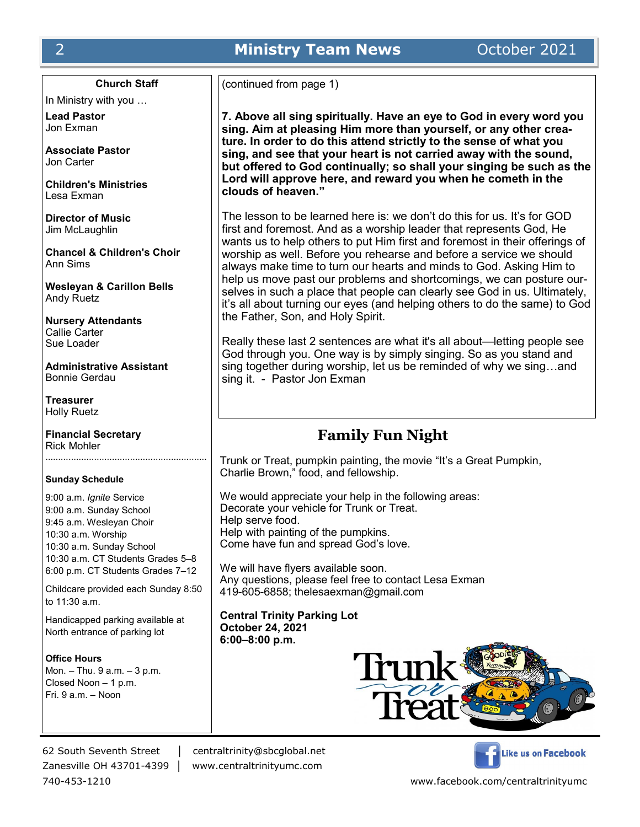# **Church Staff**

In Ministry with you …

**Lead Pastor** Jon Exman

**Associate Pastor** Jon Carter

**Children's Ministries** Lesa Exman

**Director of Music** Jim McLaughlin

**Chancel & Children's Choir** Ann Sims

**Wesleyan & Carillon Bells** Andy Ruetz

**Nursery Attendants** Callie Carter Sue Loader

**Administrative Assistant** Bonnie Gerdau

**Treasurer** Holly Ruetz

**Financial Secretary** Rick Mohler

#### **Sunday Schedule**

9:00 a.m. *Ignite* Service 9:00 a.m. Sunday School 9:45 a.m. Wesleyan Choir 10:30 a.m. Worship 10:30 a.m. Sunday School 10:30 a.m. CT Students Grades 5–8 6:00 p.m. CT Students Grades 7–12

Childcare provided each Sunday 8:50 to 11:30 a.m.

Handicapped parking available at North entrance of parking lot

#### **Office Hours**

Mon. – Thu. 9 a.m. – 3 p.m. Closed Noon – 1 p.m. Fri. 9 a.m. – Noon

(continued from page 1)

**7. Above all sing spiritually. Have an eye to God in every word you sing. Aim at pleasing Him more than yourself, or any other creature. In order to do this attend strictly to the sense of what you sing, and see that your heart is not carried away with the sound, but offered to God continually; so shall your singing be such as the Lord will approve here, and reward you when he cometh in the clouds of heaven."**

The lesson to be learned here is: we don't do this for us. It's for GOD first and foremost. And as a worship leader that represents God, He wants us to help others to put Him first and foremost in their offerings of worship as well. Before you rehearse and before a service we should always make time to turn our hearts and minds to God. Asking Him to help us move past our problems and shortcomings, we can posture ourselves in such a place that people can clearly see God in us. Ultimately, it's all about turning our eyes (and helping others to do the same) to God the Father, Son, and Holy Spirit.

Really these last 2 sentences are what it's all about—letting people see God through you. One way is by simply singing. So as you stand and sing together during worship, let us be reminded of why we sing…and sing it. - Pastor Jon Exman

# **Family Fun Night**

Trunk or Treat, pumpkin painting, the movie "It's a Great Pumpkin, Charlie Brown," food, and fellowship.

We would appreciate your help in the following areas: Decorate your vehicle for Trunk or Treat. Help serve food. Help with painting of the pumpkins. Come have fun and spread God's love.

We will have flyers available soon. Any questions, please feel free to contact Lesa Exman 419-605-6858; thelesaexman@gmail.com

**Central Trinity Parking Lot October 24, 2021 6:00–8:00 p.m.**



62 South Seventh Street │ centraltrinity@sbcglobal.net

Zanesville OH 43701-4399 │ www.centraltrinityumc.com

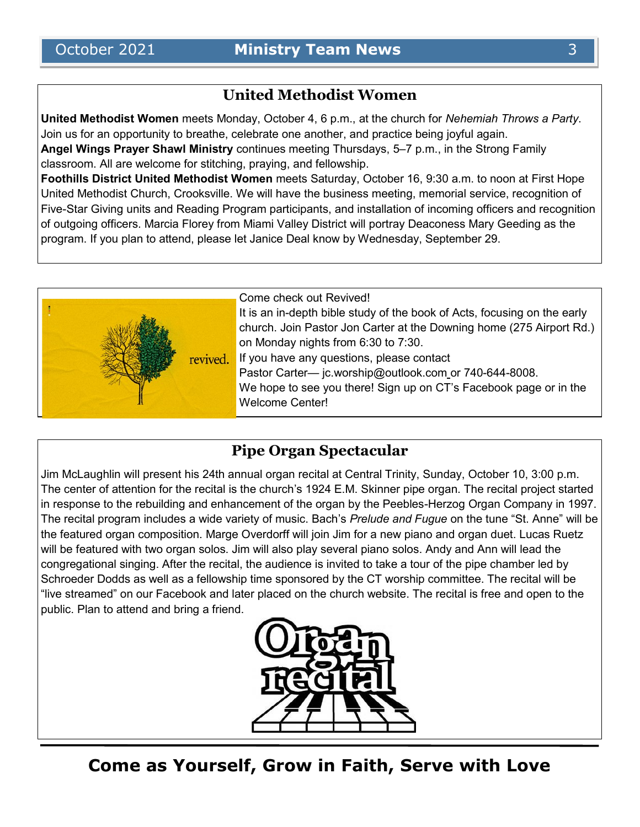# **United Methodist Women**

**United Methodist Women** meets Monday, October 4, 6 p.m., at the church for *Nehemiah Throws a Party*. Join us for an opportunity to breathe, celebrate one another, and practice being joyful again. **Angel Wings Prayer Shawl Ministry** continues meeting Thursdays, 5–7 p.m., in the Strong Family classroom. All are welcome for stitching, praying, and fellowship.

**Foothills District United Methodist Women** meets Saturday, October 16, 9:30 a.m. to noon at First Hope United Methodist Church, Crooksville. We will have the business meeting, memorial service, recognition of Five-Star Giving units and Reading Program participants, and installation of incoming officers and recognition of outgoing officers. Marcia Florey from Miami Valley District will portray Deaconess Mary Geeding as the program. If you plan to attend, please let Janice Deal know by Wednesday, September 29.



# **Pipe Organ Spectacular**

Jim McLaughlin will present his 24th annual organ recital at Central Trinity, Sunday, October 10, 3:00 p.m. The center of attention for the recital is the church's 1924 E.M. Skinner pipe organ. The recital project started in response to the rebuilding and enhancement of the organ by the Peebles-Herzog Organ Company in 1997. The recital program includes a wide variety of music. Bach's *Prelude and Fugue* on the tune "St. Anne" will be the featured organ composition. Marge Overdorff will join Jim for a new piano and organ duet. Lucas Ruetz will be featured with two organ solos. Jim will also play several piano solos. Andy and Ann will lead the congregational singing. After the recital, the audience is invited to take a tour of the pipe chamber led by Schroeder Dodds as well as a fellowship time sponsored by the CT worship committee. The recital will be "live streamed" on our Facebook and later placed on the church website. The recital is free and open to the public. Plan to attend and bring a friend.



**Come as Yourself, Grow in Faith, Serve with Love**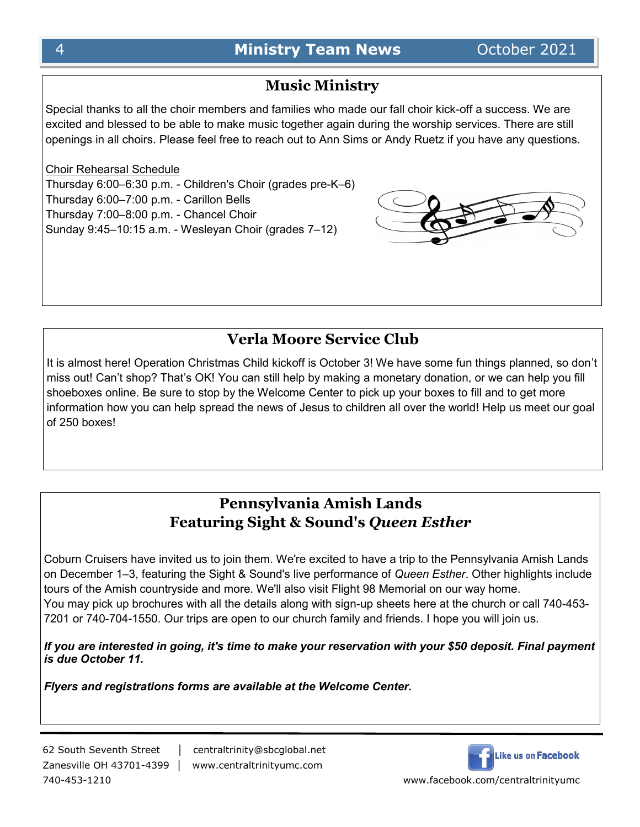# **Music Ministry**

Special thanks to all the choir members and families who made our fall choir kick-off a success. We are excited and blessed to be able to make music together again during the worship services. There are still openings in all choirs. Please feel free to reach out to Ann Sims or Andy Ruetz if you have any questions.

# Choir Rehearsal Schedule

Thursday 6:00–6:30 p.m. - Children's Choir (grades pre-K–6) Thursday 6:00–7:00 p.m. - Carillon Bells Thursday 7:00–8:00 p.m. - Chancel Choir Sunday 9:45–10:15 a.m. - Wesleyan Choir (grades 7–12)



# **Verla Moore Service Club**

It is almost here! Operation Christmas Child kickoff is October 3! We have some fun things planned, so don't miss out! Can't shop? That's OK! You can still help by making a monetary donation, or we can help you fill shoeboxes online. Be sure to stop by the Welcome Center to pick up your boxes to fill and to get more information how you can help spread the news of Jesus to children all over the world! Help us meet our goal of 250 boxes!

# **Pennsylvania Amish Lands Featuring Sight & Sound's** *Queen Esther*

Coburn Cruisers have invited us to join them. We're excited to have a trip to the Pennsylvania Amish Lands on December 1–3, featuring the Sight & Sound's live performance of *Queen Esther*. Other highlights include tours of the Amish countryside and more. We'll also visit Flight 98 Memorial on our way home. You may pick up brochures with all the details along with sign-up sheets here at the church or call 740-453- 7201 or 740-704-1550. Our trips are open to our church family and friends. I hope you will join us.

*If you are interested in going, it's time to make your reservation with your \$50 deposit. Final payment is due October 11.*

*Flyers and registrations forms are available at the Welcome Center.*

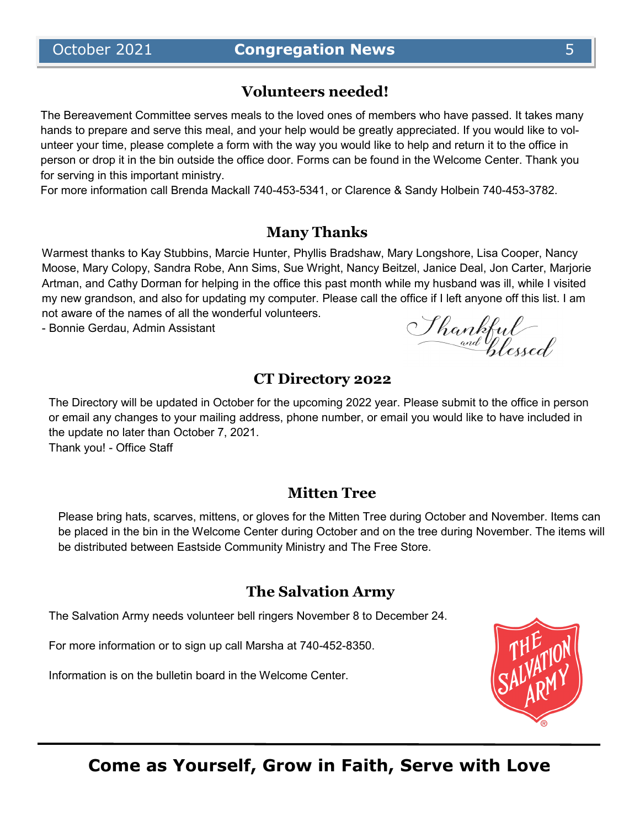# **Volunteers needed!**

The Bereavement Committee serves meals to the loved ones of members who have passed. It takes many hands to prepare and serve this meal, and your help would be greatly appreciated. If you would like to volunteer your time, please complete a form with the way you would like to help and return it to the office in person or drop it in the bin outside the office door. Forms can be found in the Welcome Center. Thank you for serving in this important ministry.

For more information call Brenda Mackall 740-453-5341, or Clarence & Sandy Holbein 740-453-3782.

# **Many Thanks**

Warmest thanks to Kay Stubbins, Marcie Hunter, Phyllis Bradshaw, Mary Longshore, Lisa Cooper, Nancy Moose, Mary Colopy, Sandra Robe, Ann Sims, Sue Wright, Nancy Beitzel, Janice Deal, Jon Carter, Marjorie Artman, and Cathy Dorman for helping in the office this past month while my husband was ill, while I visited my new grandson, and also for updating my computer. Please call the office if I left anyone off this list. I am not aware of the names of all the wonderful volunteers.

- Bonnie Gerdau, Admin Assistant

# **CT Directory 2022**

The Directory will be updated in October for the upcoming 2022 year. Please submit to the office in person or email any changes to your mailing address, phone number, or email you would like to have included in the update no later than October 7, 2021. Thank you! - Office Staff

# **Mitten Tree**

Please bring hats, scarves, mittens, or gloves for the Mitten Tree during October and November. Items can be placed in the bin in the Welcome Center during October and on the tree during November. The items will be distributed between Eastside Community Ministry and The Free Store.

# **The Salvation Army**

The Salvation Army needs volunteer bell ringers November 8 to December 24.

For more information or to sign up call Marsha at 740-452-8350.

Information is on the bulletin board in the Welcome Center.



Shankful<br>and plessed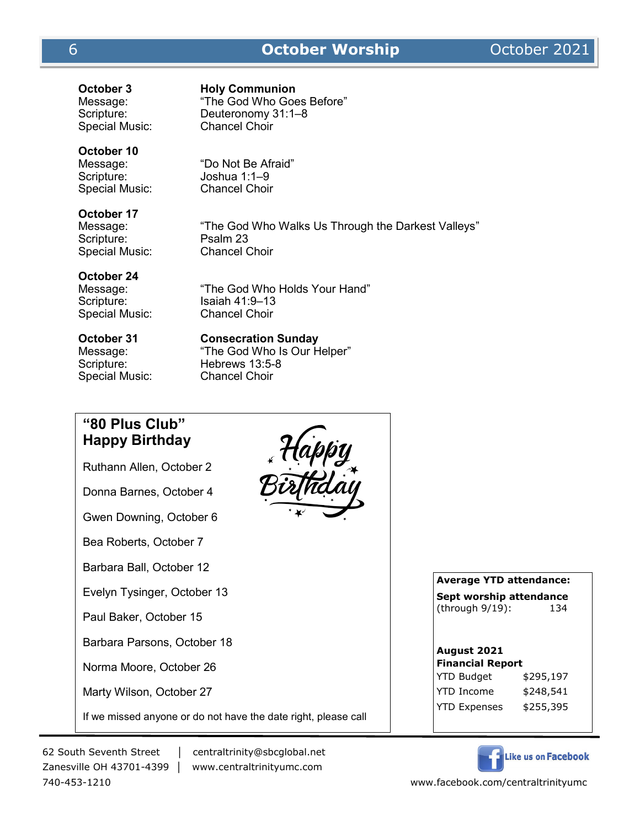# 6 **October Worship** October 2021

Special Music:

**October 3 Holy Communion** Message: "The God Who Goes Before"<br>Scripture: Deuteronomy 31:1–8 Deuteronomy 31:1–8<br>Chancel Choir

# **October 10**

Special Music:

Message: "Do Not Be Afraid" Scripture: Joshua 1:1–9<br>Special Music: Chancel Choir

# **October 17**

Scripture: Psalm 23 Special Music: Chancel Choir

Message: "The God Who Walks Us Through the Darkest Valleys"

# **October 24**

Special Music: Chancel Choir

Message: "The God Who Holds Your Hand" Scripture: Isaiah 41:9-13

**October 31 Consecration Sunday**

Special Music: Chancel Choir

Message: "The God Who Is Our Helper" Scripture: Hebrews 13:5-8



**Average YTD attendance: Sept worship attendance** 

(through 9/19): 134

#### **August 2021 Financial Report**

YTD Budget \$295,197 YTD Income \$248,541 YTD Expenses \$255,395



62 South Seventh Street │ centraltrinity@sbcglobal.net

Marty Wilson, October 27

Zanesville OH 43701-4399 │ www.centraltrinityumc.com

If we missed anyone or do not have the date right, please call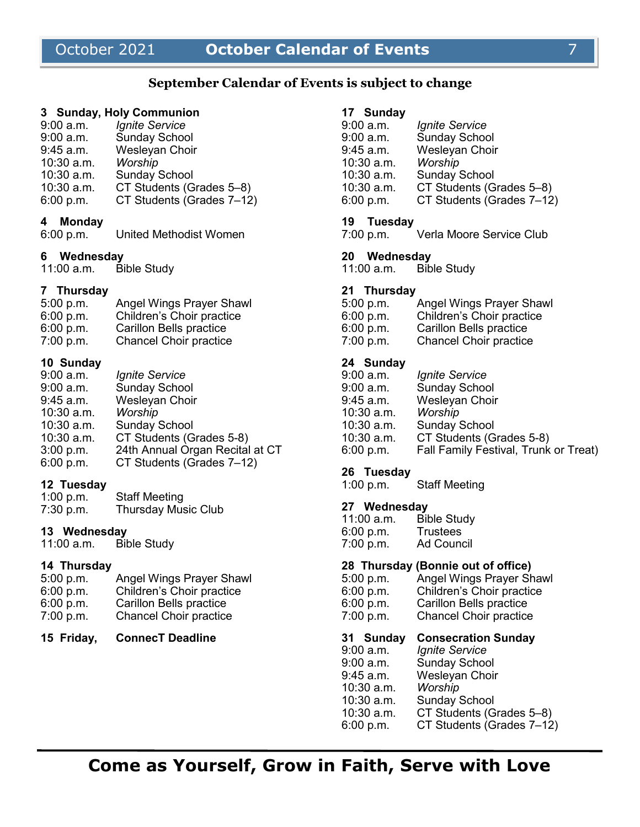# October 2021 **October Calendar of Events** 7

# **September Calendar of Events is subject to change**

#### **3 Sunday, Holy Communion**

| $9:00$ a.m. | <b>Ignite Service</b>     |
|-------------|---------------------------|
| $9:00$ a.m. | <b>Sunday School</b>      |
| $9:45$ a.m. | Wesleyan Choir            |
| 10:30 a.m.  | Worship                   |
| 10:30 a.m.  | <b>Sunday School</b>      |
| 10:30 a.m.  | CT Students (Grades 5-8)  |
| 6:00 p.m.   | CT Students (Grades 7-12) |
|             |                           |

#### **4 Monday**

6:00 p.m. United Methodist Women

# **6 Wednesday**

11:00 a.m. Bible Study

#### **7 Thursday**

| 5:00 p.m. | <b>Angel Wings Prayer Shawl</b> |
|-----------|---------------------------------|
| 6:00 p.m. | Children's Choir practice       |
| 6:00 p.m. | <b>Carillon Bells practice</b>  |
| 7:00 p.m. | <b>Chancel Choir practice</b>   |

## **10 Sunday**

| 9:00 a.m.    | <i><b>Ignite Service</b></i>    |
|--------------|---------------------------------|
| 9:00 a.m.    | <b>Sunday School</b>            |
| 9:45 a.m.    | Wesleyan Choir                  |
| 10:30 a.m.   | Worship                         |
| $10:30$ a.m. | <b>Sunday School</b>            |
| $10:30$ a.m. | CT Students (Grades 5-8)        |
| $3:00$ p.m.  | 24th Annual Organ Recital at CT |
| 6:00 p.m.    | CT Students (Grades 7-12)       |

# **12 Tuesday**

| 1:00 p.m. | <b>Staff Meeting</b>       |
|-----------|----------------------------|
| 7:30 p.m. | <b>Thursday Music Club</b> |

## **13 Wednesday**

11:00 a.m. Bible Study

# **14 Thursday**

| 5:00 p.m. | <b>Angel Wings Prayer Shawl</b> |
|-----------|---------------------------------|
| 6:00 p.m. | Children's Choir practice       |
| 6:00 p.m. | <b>Carillon Bells practice</b>  |
| 7:00 p.m. | <b>Chancel Choir practice</b>   |
|           |                                 |

#### **15 Friday, ConnecT Deadline**

| <b>Ignite Service</b>     |
|---------------------------|
| <b>Sunday School</b>      |
| <b>Wesleyan Choir</b>     |
| Worship                   |
| <b>Sunday School</b>      |
| CT Students (Grades 5-8)  |
| CT Students (Grades 7-12) |
|                           |

#### **19 Tuesday**

7:00 p.m. Verla Moore Service Club

# **20 Wednesday**

11:00 a.m. Bible Study

#### **21 Thursday**

| 5:00 p.m. | <b>Angel Wings Prayer Shawl</b> |
|-----------|---------------------------------|
| 6:00 p.m. | Children's Choir practice       |
| 6:00 p.m. | <b>Carillon Bells practice</b>  |
| 7:00 p.m. | <b>Chancel Choir practice</b>   |

# **24 Sunday**

| 9:00 a.m.  | <i><b>Ignite Service</b></i>          |
|------------|---------------------------------------|
| 9:00 a.m.  | <b>Sunday School</b>                  |
| 9:45 a.m.  | Wesleyan Choir                        |
| 10:30 a.m. | Worship                               |
| 10:30 a.m. | <b>Sunday School</b>                  |
| 10:30 a.m. | CT Students (Grades 5-8)              |
| 6:00 p.m.  | Fall Family Festival, Trunk or Treat) |
|            |                                       |

# **26 Tuesday**

1:00 p.m. Staff Meeting

# **27 Wednesday**

| $11:00$ a.m. | <b>Bible Study</b> |
|--------------|--------------------|
| 6:00 p.m.    | <b>Trustees</b>    |
| 7:00 p.m.    | <b>Ad Council</b>  |

#### **28 Thursday (Bonnie out of office)**

| 5:00 p.m. | <b>Angel Wings Prayer Shawl</b> |
|-----------|---------------------------------|
| 6:00 p.m. | Children's Choir practice       |
| 6:00 p.m. | Carillon Bells practice         |
| 7:00 p.m. | <b>Chancel Choir practice</b>   |

#### **31 Sunday Consecration Sunday**

9:00 a.m. *Ignite Service* Sunday School 9:45 a.m. Wesleyan Choir 10:30 a.m. *Worship*  10:30 a.m. Sunday School<br>10:30 a.m. CT Students (G CT Students (Grades 5–8) 6:00 p.m. CT Students (Grades 7–12)